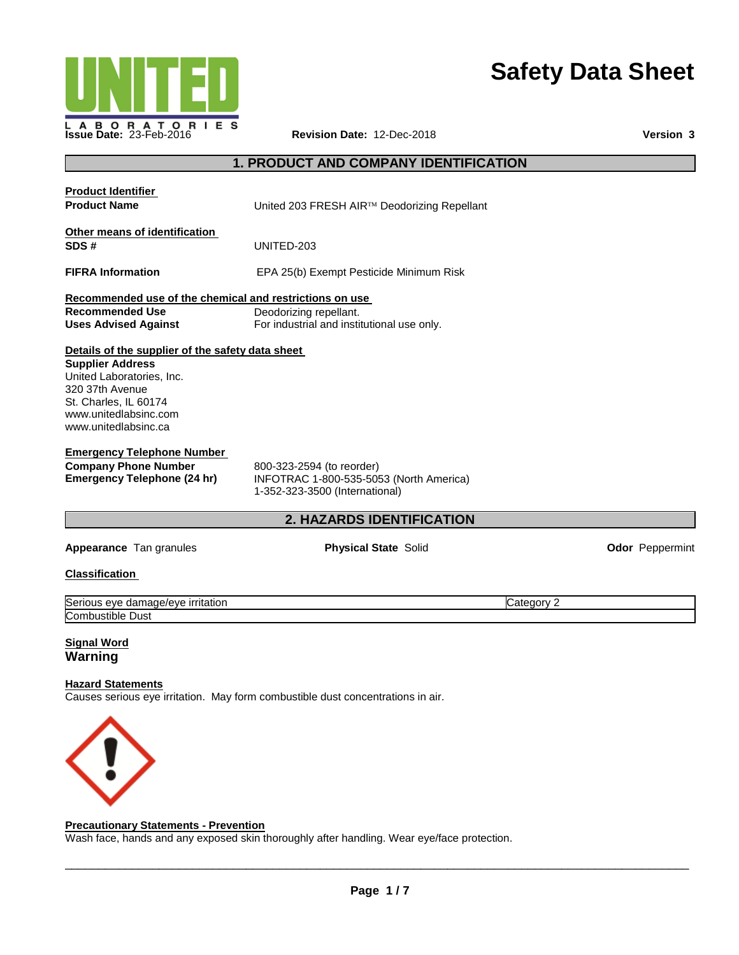

# **Safety Data Sheet**

# **1. PRODUCT AND COMPANY IDENTIFICATION**

| <b>Product Identifier</b><br><b>Product Name</b>                                                                                                                                                      | United 203 FRESH AIR™ Deodorizing Repellant                                                            |            |                        |
|-------------------------------------------------------------------------------------------------------------------------------------------------------------------------------------------------------|--------------------------------------------------------------------------------------------------------|------------|------------------------|
| Other means of identification<br>SDS#                                                                                                                                                                 | UNITED-203                                                                                             |            |                        |
| <b>FIFRA Information</b>                                                                                                                                                                              | EPA 25(b) Exempt Pesticide Minimum Risk                                                                |            |                        |
| Recommended use of the chemical and restrictions on use<br><b>Recommended Use</b><br><b>Uses Advised Against</b>                                                                                      | Deodorizing repellant.<br>For industrial and institutional use only.                                   |            |                        |
| Details of the supplier of the safety data sheet<br><b>Supplier Address</b><br>United Laboratories, Inc.<br>320 37th Avenue<br>St. Charles, IL 60174<br>www.unitedlabsinc.com<br>www.unitedlabsinc.ca |                                                                                                        |            |                        |
| <b>Emergency Telephone Number</b><br><b>Company Phone Number</b><br><b>Emergency Telephone (24 hr)</b>                                                                                                | 800-323-2594 (to reorder)<br>INFOTRAC 1-800-535-5053 (North America)<br>1-352-323-3500 (International) |            |                        |
|                                                                                                                                                                                                       | 2. HAZARDS IDENTIFICATION                                                                              |            |                        |
| Appearance Tan granules                                                                                                                                                                               | <b>Physical State Solid</b>                                                                            |            | <b>Odor</b> Peppermint |
| <b>Classification</b>                                                                                                                                                                                 |                                                                                                        |            |                        |
| Serious eye damage/eye irritation<br>Combustible Dust                                                                                                                                                 |                                                                                                        | Category 2 |                        |
| <b>Signal Word</b><br>Warning                                                                                                                                                                         |                                                                                                        |            |                        |
| <b>Hazard Statements</b>                                                                                                                                                                              | Causes serious eye irritation. May form combustible dust concentrations in air.                        |            |                        |



### **Precautionary Statements - Prevention**

Wash face, hands and any exposed skin thoroughly after handling. Wear eye/face protection.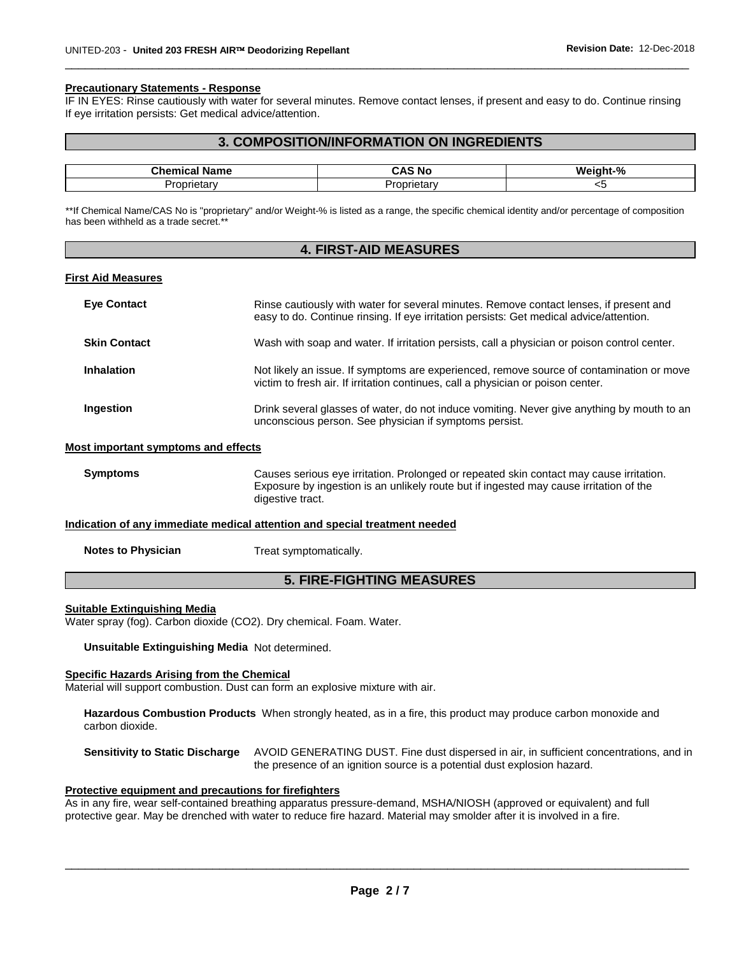#### **Precautionary Statements - Response**

IF IN EYES: Rinse cautiously with water for several minutes. Remove contact lenses, if present and easy to do. Continue rinsing If eye irritation persists: Get medical advice/attention.

\_\_\_\_\_\_\_\_\_\_\_\_\_\_\_\_\_\_\_\_\_\_\_\_\_\_\_\_\_\_\_\_\_\_\_\_\_\_\_\_\_\_\_\_\_\_\_\_\_\_\_\_\_\_\_\_\_\_\_\_\_\_\_\_\_\_\_\_\_\_\_\_\_\_\_\_\_\_\_\_\_\_\_\_\_\_\_\_\_\_\_\_\_

# **3. COMPOSITION/INFORMATION ON INGREDIENTS**

| ∽∽Chemiش          | . Д.                     | -04 |
|-------------------|--------------------------|-----|
| <b>Name</b>       | 'NC                      | W.  |
| I<br>.<br>onetarv | .<br>— Pr⊂<br>.oprietarv | w   |

\*\*If Chemical Name/CAS No is "proprietary" and/or Weight-% is listed as a range, the specific chemical identity and/or percentage of composition has been withheld as a trade secret.\*\*

| <b>4. FIRST-AID MEASURES</b>                                                                                                                                                                                                                                          |                                                                                                                                                                                                       |
|-----------------------------------------------------------------------------------------------------------------------------------------------------------------------------------------------------------------------------------------------------------------------|-------------------------------------------------------------------------------------------------------------------------------------------------------------------------------------------------------|
| <b>First Aid Measures</b>                                                                                                                                                                                                                                             |                                                                                                                                                                                                       |
| <b>Eye Contact</b>                                                                                                                                                                                                                                                    | Rinse cautiously with water for several minutes. Remove contact lenses, if present and<br>easy to do. Continue rinsing. If eye irritation persists: Get medical advice/attention.                     |
| <b>Skin Contact</b>                                                                                                                                                                                                                                                   | Wash with soap and water. If irritation persists, call a physician or poison control center.                                                                                                          |
| <b>Inhalation</b>                                                                                                                                                                                                                                                     | Not likely an issue. If symptoms are experienced, remove source of contamination or move<br>victim to fresh air. If irritation continues, call a physician or poison center.                          |
| Ingestion                                                                                                                                                                                                                                                             | Drink several glasses of water, do not induce vomiting. Never give anything by mouth to an<br>unconscious person. See physician if symptoms persist.                                                  |
| Most important symptoms and effects                                                                                                                                                                                                                                   |                                                                                                                                                                                                       |
| <b>Symptoms</b>                                                                                                                                                                                                                                                       | Causes serious eye irritation. Prolonged or repeated skin contact may cause irritation.<br>Exposure by ingestion is an unlikely route but if ingested may cause irritation of the<br>digestive tract. |
| Indication of any immediate medical attention and special treatment needed                                                                                                                                                                                            |                                                                                                                                                                                                       |
| <b>Notes to Physician</b>                                                                                                                                                                                                                                             | Treat symptomatically.                                                                                                                                                                                |
| <b>5. FIRE-FIGHTING MEASURES</b>                                                                                                                                                                                                                                      |                                                                                                                                                                                                       |
| <b>Suitable Extinguishing Media</b><br>the community of the community of the community of the community of the community of the community of the community of the community of the community of the community of the community of the community of the community of t | Water spray (fog). Carbon dioxide (CO2). Dry chemical. Foam. Water.                                                                                                                                   |

**Unsuitable Extinguishing Media** Not determined.

#### **Specific Hazards Arising from the Chemical**

L

Material will support combustion. Dust can form an explosive mixture with air.

**Hazardous Combustion Products** When strongly heated, as in a fire, this product may produce carbon monoxide and carbon dioxide.

**Sensitivity to Static Discharge** AVOID GENERATING DUST. Fine dust dispersed in air, in sufficient concentrations, and in the presence of an ignition source is a potential dust explosion hazard.

#### **Protective equipment and precautions for firefighters**

As in any fire, wear self-contained breathing apparatus pressure-demand, MSHA/NIOSH (approved or equivalent) and full protective gear. May be drenched with water to reduce fire hazard. Material may smolder after it is involved in a fire.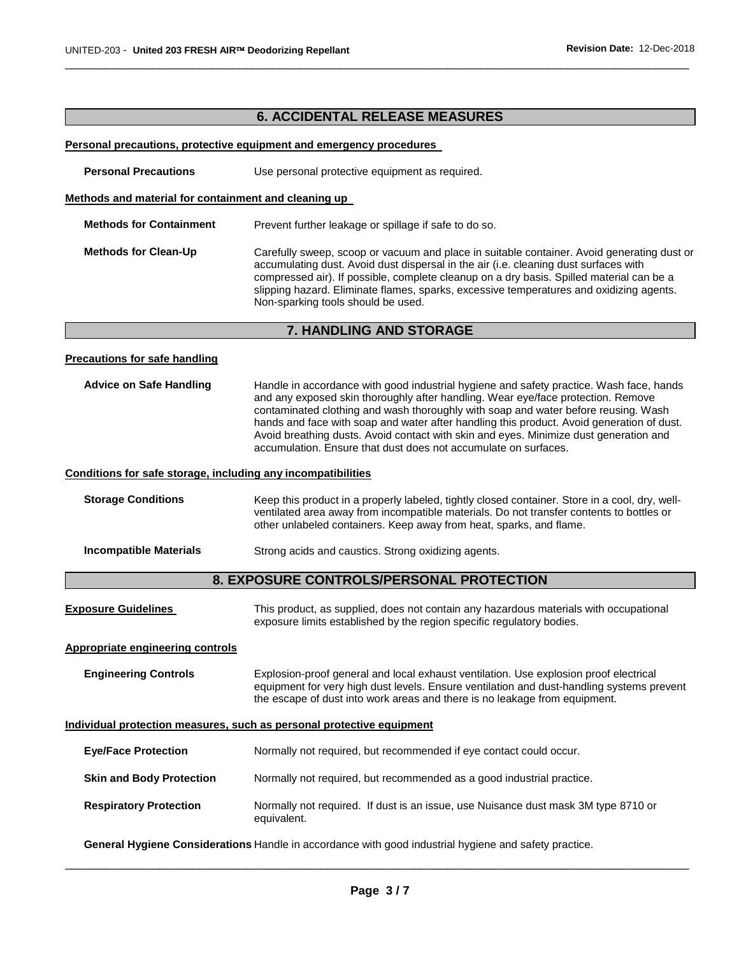# **6. ACCIDENTAL RELEASE MEASURES**

\_\_\_\_\_\_\_\_\_\_\_\_\_\_\_\_\_\_\_\_\_\_\_\_\_\_\_\_\_\_\_\_\_\_\_\_\_\_\_\_\_\_\_\_\_\_\_\_\_\_\_\_\_\_\_\_\_\_\_\_\_\_\_\_\_\_\_\_\_\_\_\_\_\_\_\_\_\_\_\_\_\_\_\_\_\_\_\_\_\_\_\_\_

#### **Personal precautions, protective equipment and emergency procedures**

**Personal Precautions Use personal protective equipment as required.** 

#### **Methods and material for containment and cleaning up**

| <b>Methods for Containment</b> | Prevent further leakage or spillage if safe to do so.                                                                                                                                                                                                                                                                                                                                                           |
|--------------------------------|-----------------------------------------------------------------------------------------------------------------------------------------------------------------------------------------------------------------------------------------------------------------------------------------------------------------------------------------------------------------------------------------------------------------|
| <b>Methods for Clean-Up</b>    | Carefully sweep, scoop or vacuum and place in suitable container. Avoid generating dust or<br>accumulating dust. Avoid dust dispersal in the air (i.e. cleaning dust surfaces with<br>compressed air). If possible, complete cleanup on a dry basis. Spilled material can be a<br>slipping hazard. Eliminate flames, sparks, excessive temperatures and oxidizing agents.<br>Non-sparking tools should be used. |

# **7. HANDLING AND STORAGE**

#### **Precautions for safe handling**

| <b>Advice on Safe Handling</b> | Handle in accordance with good industrial hygiene and safety practice. Wash face, hands<br>and any exposed skin thoroughly after handling. Wear eye/face protection. Remove                                                                                                                                                                 |
|--------------------------------|---------------------------------------------------------------------------------------------------------------------------------------------------------------------------------------------------------------------------------------------------------------------------------------------------------------------------------------------|
|                                | contaminated clothing and wash thoroughly with soap and water before reusing. Wash<br>hands and face with soap and water after handling this product. Avoid generation of dust.<br>Avoid breathing dusts. Avoid contact with skin and eyes. Minimize dust generation and<br>accumulation. Ensure that dust does not accumulate on surfaces. |

#### **Conditions for safe storage, including any incompatibilities**

| <b>Storage Conditions</b> | Keep this product in a properly labeled, tightly closed container. Store in a cool, dry, well-<br>ventilated area away from incompatible materials. Do not transfer contents to bottles or<br>other unlabeled containers. Keep away from heat, sparks, and flame. |
|---------------------------|-------------------------------------------------------------------------------------------------------------------------------------------------------------------------------------------------------------------------------------------------------------------|
| Incompatible Materials    | Strong acids and caustics. Strong oxidizing agents.                                                                                                                                                                                                               |

# **8. EXPOSURE CONTROLS/PERSONAL PROTECTION**

| <b>Exposure Guidelines</b> | This product, as supplied, does not contain any hazardous materials with occupational |
|----------------------------|---------------------------------------------------------------------------------------|
|                            | exposure limits established by the region specific regulatory bodies.                 |

#### **Appropriate engineering controls**

**Engineering Controls** Explosion-proof general and local exhaust ventilation. Use explosion proof electrical equipment for very high dust levels. Ensure ventilation and dust-handling systems prevent the escape of dust into work areas and there is no leakage from equipment.

#### **Individual protection measures, such as personal protective equipment**

| <b>Eve/Face Protection</b>      | Normally not required, but recommended if eye contact could occur.                                |
|---------------------------------|---------------------------------------------------------------------------------------------------|
| <b>Skin and Body Protection</b> | Normally not required, but recommended as a good industrial practice.                             |
| <b>Respiratory Protection</b>   | Normally not required. If dust is an issue, use Nuisance dust mask 3M type 8710 or<br>equivalent. |

**General Hygiene Considerations** Handle in accordance with good industrial hygiene and safety practice.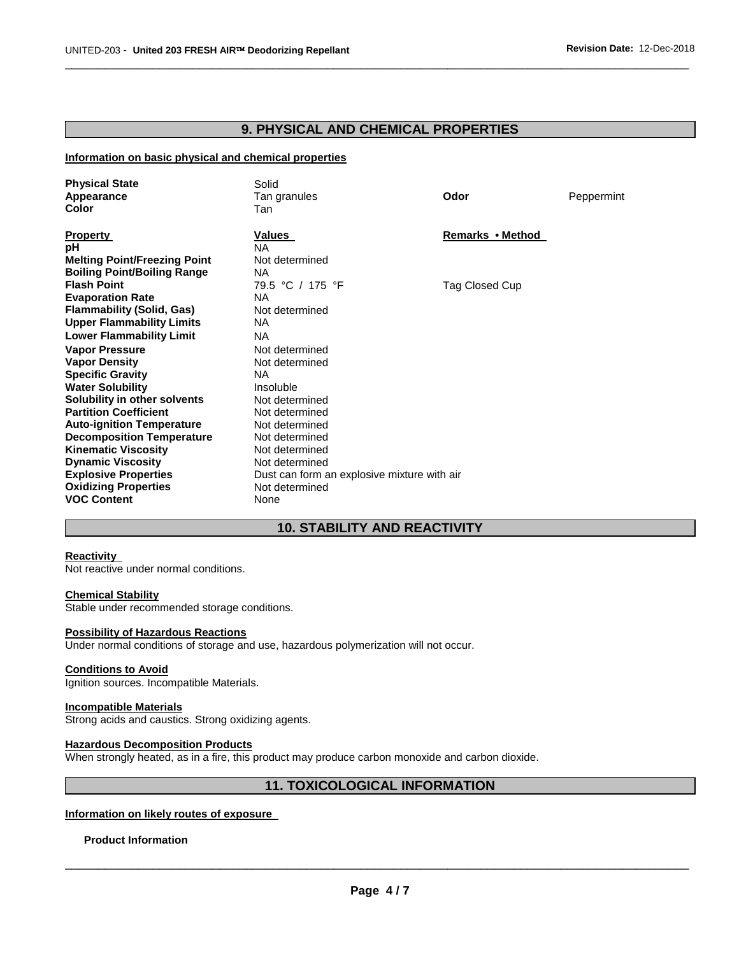# **9. PHYSICAL AND CHEMICAL PROPERTIES**

\_\_\_\_\_\_\_\_\_\_\_\_\_\_\_\_\_\_\_\_\_\_\_\_\_\_\_\_\_\_\_\_\_\_\_\_\_\_\_\_\_\_\_\_\_\_\_\_\_\_\_\_\_\_\_\_\_\_\_\_\_\_\_\_\_\_\_\_\_\_\_\_\_\_\_\_\_\_\_\_\_\_\_\_\_\_\_\_\_\_\_\_\_

#### **Information on basic physical and chemical properties**

| <b>Physical State</b><br>Appearance<br>Color                                                                                                                                                                                                                                       | Solid<br>Tan granules<br>Tan                                                                                                                                                      | Odor             | Peppermint |
|------------------------------------------------------------------------------------------------------------------------------------------------------------------------------------------------------------------------------------------------------------------------------------|-----------------------------------------------------------------------------------------------------------------------------------------------------------------------------------|------------------|------------|
| <b>Property</b><br>pH<br><b>Melting Point/Freezing Point</b><br><b>Boiling Point/Boiling Range</b>                                                                                                                                                                                 | Values<br><b>NA</b><br>Not determined<br>NA.                                                                                                                                      | Remarks • Method |            |
| <b>Flash Point</b><br><b>Evaporation Rate</b><br><b>Flammability (Solid, Gas)</b><br><b>Upper Flammability Limits</b><br><b>Lower Flammability Limit</b><br><b>Vapor Pressure</b><br><b>Vapor Density</b><br><b>Specific Gravity</b><br><b>Water Solubility</b>                    | 79.5 °C / 175 °F<br>NA.<br>Not determined<br>NA.<br><b>NA</b><br>Not determined<br>Not determined<br>NA.<br>Insoluble                                                             | Tag Closed Cup   |            |
| Solubility in other solvents<br><b>Partition Coefficient</b><br><b>Auto-ignition Temperature</b><br><b>Decomposition Temperature</b><br><b>Kinematic Viscosity</b><br><b>Dynamic Viscosity</b><br><b>Explosive Properties</b><br><b>Oxidizing Properties</b><br><b>VOC Content</b> | Not determined<br>Not determined<br>Not determined<br>Not determined<br>Not determined<br>Not determined<br>Dust can form an explosive mixture with air<br>Not determined<br>None |                  |            |

# **10. STABILITY AND REACTIVITY**

#### **Reactivity**

Not reactive under normal conditions.

# **Chemical Stability**

Stable under recommended storage conditions.

#### **Possibility of Hazardous Reactions**

Under normal conditions of storage and use, hazardous polymerization will not occur.

#### **Conditions to Avoid**

Ignition sources. Incompatible Materials.

#### **Incompatible Materials**

Strong acids and caustics. Strong oxidizing agents.

#### **Hazardous Decomposition Products**

When strongly heated, as in a fire, this product may produce carbon monoxide and carbon dioxide.

# **11. TOXICOLOGICAL INFORMATION**

#### **Information on likely routes of exposure**

#### **Product Information**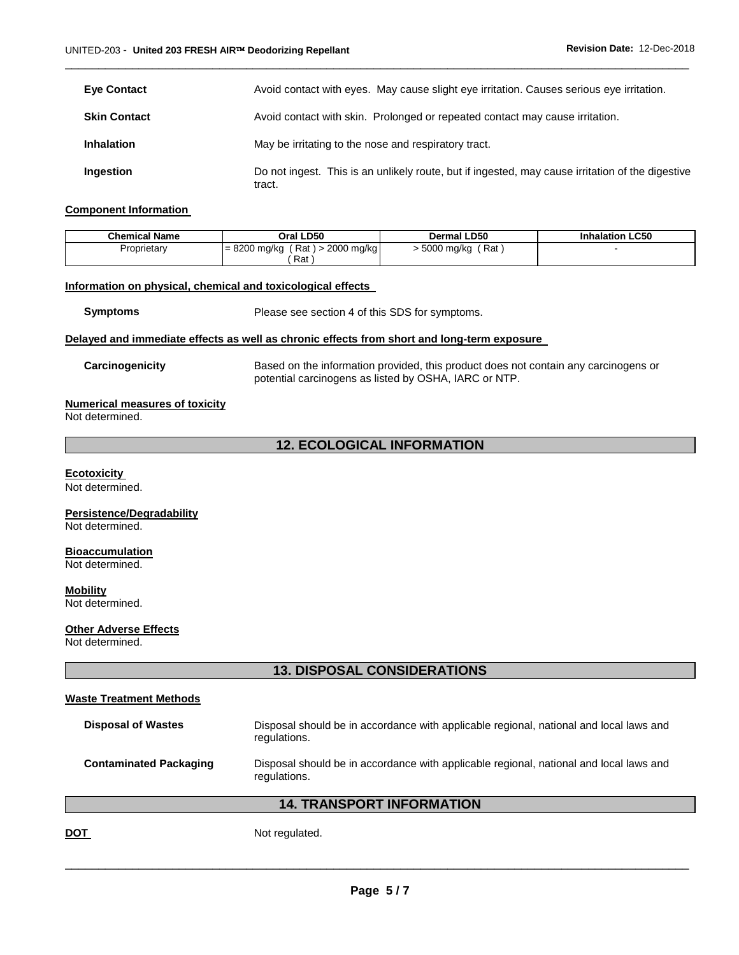| <b>Eve Contact</b>  | Avoid contact with eyes. May cause slight eye irritation. Causes serious eye irritation.                   |
|---------------------|------------------------------------------------------------------------------------------------------------|
| <b>Skin Contact</b> | Avoid contact with skin. Prolonged or repeated contact may cause irritation.                               |
| <b>Inhalation</b>   | May be irritating to the nose and respiratory tract.                                                       |
| Ingestion           | Do not ingest. This is an unlikely route, but if ingested, may cause irritation of the digestive<br>tract. |

\_\_\_\_\_\_\_\_\_\_\_\_\_\_\_\_\_\_\_\_\_\_\_\_\_\_\_\_\_\_\_\_\_\_\_\_\_\_\_\_\_\_\_\_\_\_\_\_\_\_\_\_\_\_\_\_\_\_\_\_\_\_\_\_\_\_\_\_\_\_\_\_\_\_\_\_\_\_\_\_\_\_\_\_\_\_\_\_\_\_\_\_\_

#### **Component Information**

| <b>Chemical Name</b> | Oral LD50                               | <b>Dermal LD50</b> | <b>Inhalation LC50</b> |
|----------------------|-----------------------------------------|--------------------|------------------------|
| Proprietary          | $= 8200$ mg/kg<br>Rat )<br>> 2000 mg/kg | Rat<br>5000 mg/kg  |                        |
|                      | Rat                                     |                    |                        |

#### **Information on physical, chemical and toxicological effects**

**Symptoms** Please see section 4 of this SDS for symptoms.

#### **Delayed and immediate effects as well as chronic effects from short and long-term exposure**

**Carcinogenicity** Based on the information provided, this product does not contain any carcinogens or potential carcinogens as listed by OSHA, IARC or NTP.

#### **Numerical measures of toxicity**

Not determined.

# **12. ECOLOGICAL INFORMATION**

#### **Ecotoxicity**

Not determined.

# **Persistence/Degradability**

Not determined.

#### **Bioaccumulation**

Not determined.

# **Mobility**

Not determined.

#### **Other Adverse Effects**

Not determined.

# **13. DISPOSAL CONSIDERATIONS**

#### **Waste Treatment Methods**

| <b>Disposal of Wastes</b>     | Disposal should be in accordance with applicable regional, national and local laws and<br>regulations. |
|-------------------------------|--------------------------------------------------------------------------------------------------------|
| <b>Contaminated Packaging</b> | Disposal should be in accordance with applicable regional, national and local laws and<br>regulations. |
|                               | <b>14. TRANSPORT INFORMATION</b>                                                                       |

**DOT** Not regulated.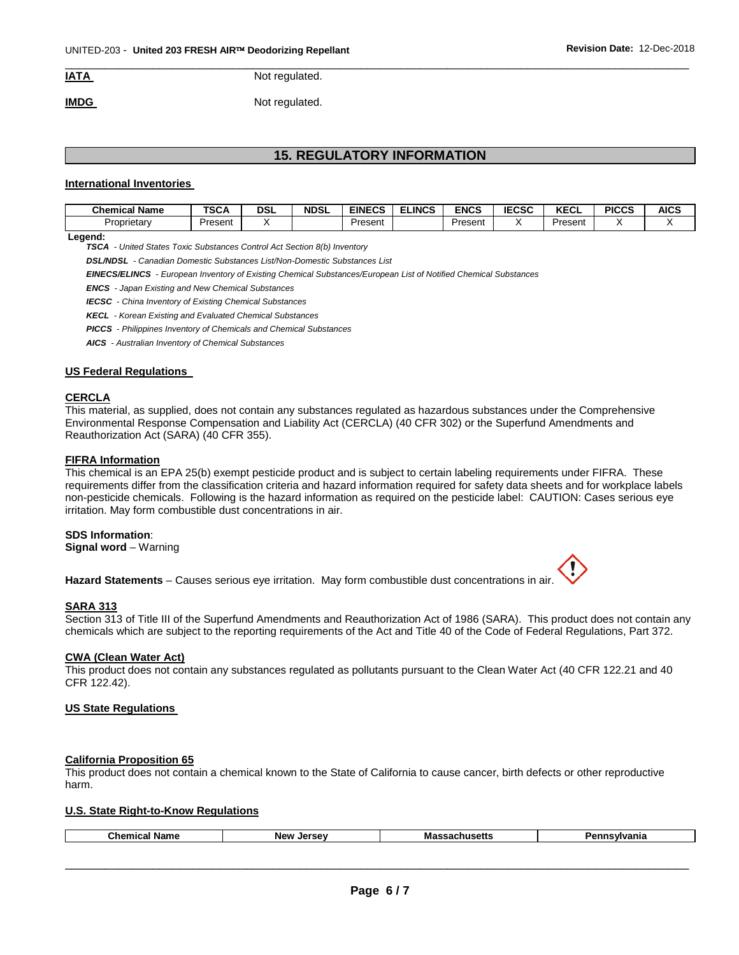\_\_\_\_\_\_\_\_\_\_\_\_\_\_\_\_\_\_\_\_\_\_\_\_\_\_\_\_\_\_\_\_\_\_\_\_\_\_\_\_\_\_\_\_\_\_\_\_\_\_\_\_\_\_\_\_\_\_\_\_\_\_\_\_\_\_\_\_\_\_\_\_\_\_\_\_\_\_\_\_\_\_\_\_\_\_\_\_\_\_\_\_\_ **IATA** Not regulated.

**IMDG** Not regulated.

# **15. REGULATORY INFORMATION**

#### **International Inventories**

| Chemical Name | <b>TSCA</b> | DSL | <b>NDSL</b> | <b>EINECS</b> | ELINCS | <b>ENCS</b> | <b>IECSC</b> | I/T<br><b>NEVL</b> | <b>PICCS</b> | AICS |
|---------------|-------------|-----|-------------|---------------|--------|-------------|--------------|--------------------|--------------|------|
| Proprietary   | Present     |     |             | Present       |        | Present     |              | Present            |              |      |

#### **Legend:**

*TSCA - United States Toxic Substances Control Act Section 8(b) Inventory* 

*DSL/NDSL - Canadian Domestic Substances List/Non-Domestic Substances List* 

*EINECS/ELINCS - European Inventory of Existing Chemical Substances/European List of Notified Chemical Substances* 

*ENCS - Japan Existing and New Chemical Substances* 

*IECSC - China Inventory of Existing Chemical Substances* 

*KECL - Korean Existing and Evaluated Chemical Substances* 

*PICCS - Philippines Inventory of Chemicals and Chemical Substances* 

*AICS - Australian Inventory of Chemical Substances* 

#### **US Federal Regulations**

#### **CERCLA**

This material, as supplied, does not contain any substances regulated as hazardous substances under the Comprehensive Environmental Response Compensation and Liability Act (CERCLA) (40 CFR 302) or the Superfund Amendments and Reauthorization Act (SARA) (40 CFR 355).

#### **FIFRA Information**

This chemical is an EPA 25(b) exempt pesticide product and is subject to certain labeling requirements under FIFRA. These requirements differ from the classification criteria and hazard information required for safety data sheets and for workplace labels non-pesticide chemicals. Following is the hazard information as required on the pesticide label: CAUTION: Cases serious eye irritation. May form combustible dust concentrations in air.

#### **SDS Information**:

**Signal word** – Warning

**Hazard Statements** – Causes serious eye irritation. May form combustible dust concentrations in air.

#### **SARA 313**

Section 313 of Title III of the Superfund Amendments and Reauthorization Act of 1986 (SARA). This product does not contain any chemicals which are subject to the reporting requirements of the Act and Title 40 of the Code of Federal Regulations, Part 372.

#### **CWA (Clean Water Act)**

This product does not contain any substances regulated as pollutants pursuant to the Clean Water Act (40 CFR 122.21 and 40 CFR 122.42).

#### **US State Regulations**

#### **California Proposition 65**

This product does not contain a chemical known to the State of California to cause cancer, birth defects or other reproductive harm.

#### **U.S. State Right-to-Know Regulations**

| <b>Name</b><br>⊸hemical " | <b>Jarcov</b><br><b>New</b> | Ma:<br>- - -<br>nuseus<br>$-111$ | .<br>. .<br>. . |
|---------------------------|-----------------------------|----------------------------------|-----------------|
|                           |                             |                                  |                 |